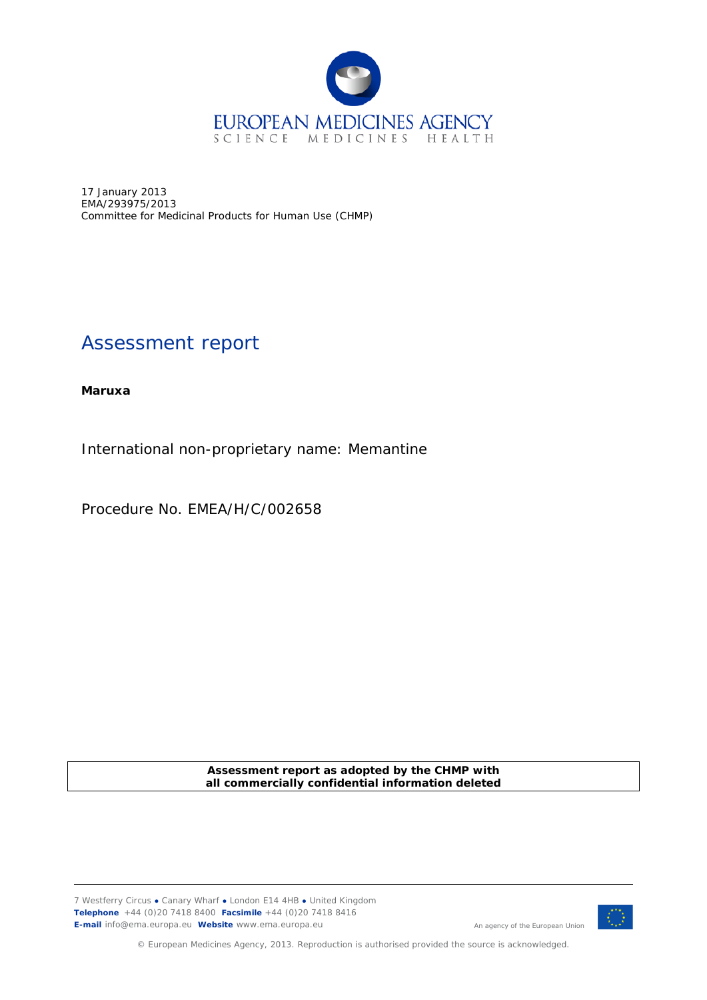

17 January 2013 EMA/293975/2013 Committee for Medicinal Products for Human Use (CHMP)

# Assessment report

**Maruxa**

International non-proprietary name: Memantine

Procedure No. EMEA/H/C/002658

**Assessment report as adopted by the CHMP with all commercially confidential information deleted**

7 Westferry Circus **●** Canary Wharf **●** London E14 4HB **●** United Kingdom **Telephone** +44 (0)20 7418 8400 **Facsimile** +44 (0)20 7418 8416 **E-mail** info@ema.europa.eu **Website** www.ema.europa.eu



© European Medicines Agency, 2013. Reproduction is authorised provided the source is acknowledged.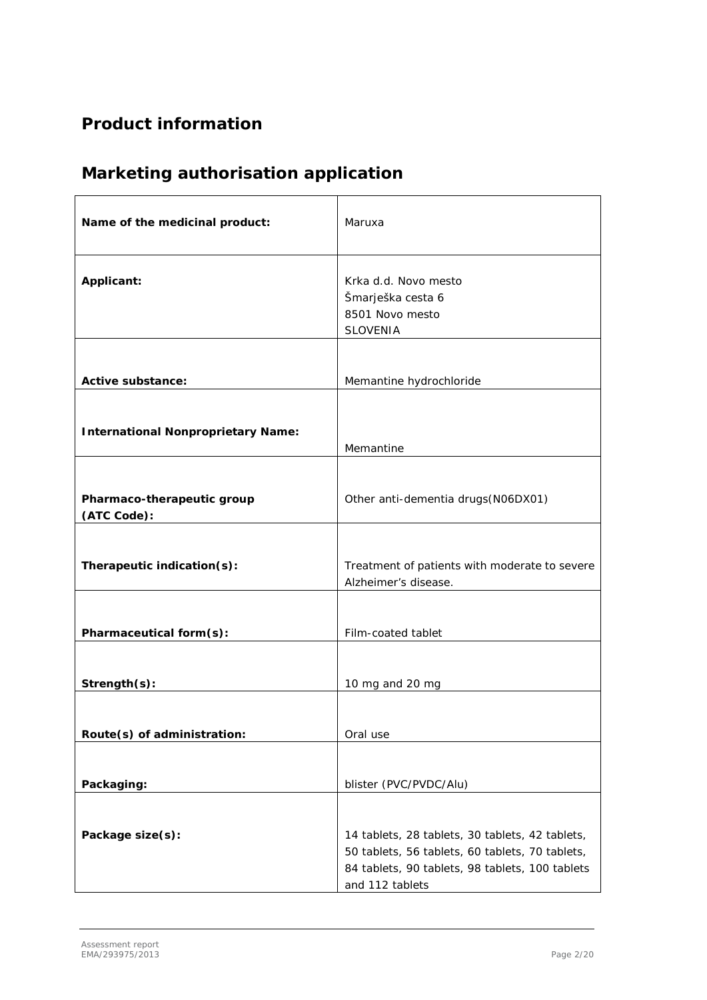# **Product information**

| Name of the medicinal product:            | Maruxa                                                                                                                                                                   |
|-------------------------------------------|--------------------------------------------------------------------------------------------------------------------------------------------------------------------------|
| Applicant:                                | Krka d.d. Novo mesto<br>Šmarješka cesta 6<br>8501 Novo mesto<br><b>SLOVENIA</b>                                                                                          |
| Active substance:                         | Memantine hydrochloride                                                                                                                                                  |
| <b>International Nonproprietary Name:</b> | Memantine                                                                                                                                                                |
| Pharmaco-therapeutic group<br>(ATC Code): | Other anti-dementia drugs(N06DX01)                                                                                                                                       |
| Therapeutic indication(s):                | Treatment of patients with moderate to severe<br>Alzheimer's disease.                                                                                                    |
| Pharmaceutical form(s):                   | Film-coated tablet                                                                                                                                                       |
| Strength(s):                              | 10 mg and 20 mg                                                                                                                                                          |
| Route(s) of administration:               | Oral use                                                                                                                                                                 |
| Packaging:                                | blister (PVC/PVDC/Alu)                                                                                                                                                   |
| Package size(s):                          | 14 tablets, 28 tablets, 30 tablets, 42 tablets,<br>50 tablets, 56 tablets, 60 tablets, 70 tablets,<br>84 tablets, 90 tablets, 98 tablets, 100 tablets<br>and 112 tablets |

# **Marketing authorisation application**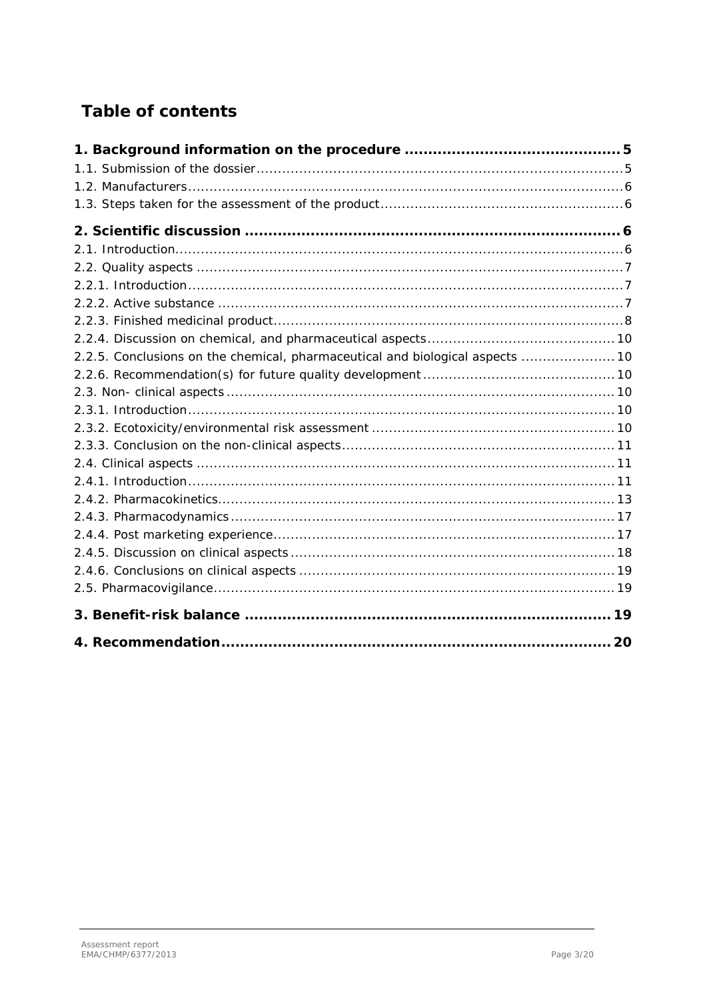# **Table of contents**

| 2.2.5. Conclusions on the chemical, pharmaceutical and biological aspects  10 |
|-------------------------------------------------------------------------------|
|                                                                               |
|                                                                               |
|                                                                               |
|                                                                               |
|                                                                               |
|                                                                               |
|                                                                               |
|                                                                               |
|                                                                               |
|                                                                               |
|                                                                               |
|                                                                               |
|                                                                               |
|                                                                               |
|                                                                               |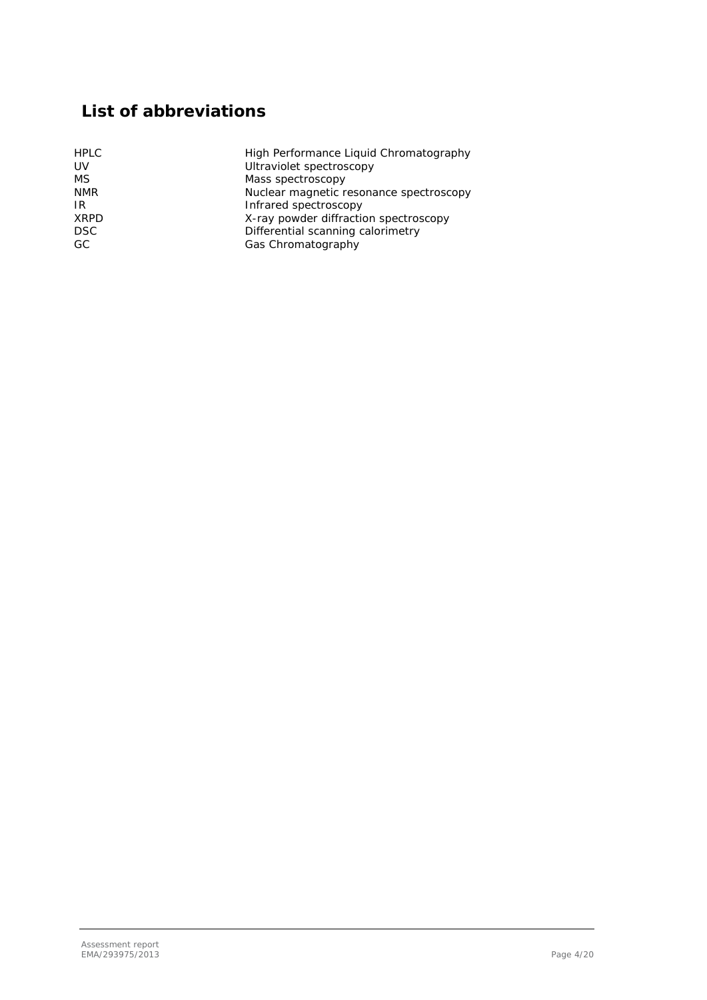# **List of abbreviations**

| <b>HPLC</b> | High Performance Liquid Chromatography  |
|-------------|-----------------------------------------|
| <b>UV</b>   | Ultraviolet spectroscopy                |
| MS          | Mass spectroscopy                       |
| <b>NMR</b>  | Nuclear magnetic resonance spectroscopy |
| IR.         | Infrared spectroscopy                   |
| <b>XRPD</b> | X-ray powder diffraction spectroscopy   |
| <b>DSC</b>  | Differential scanning calorimetry       |
| GC.         | Gas Chromatography                      |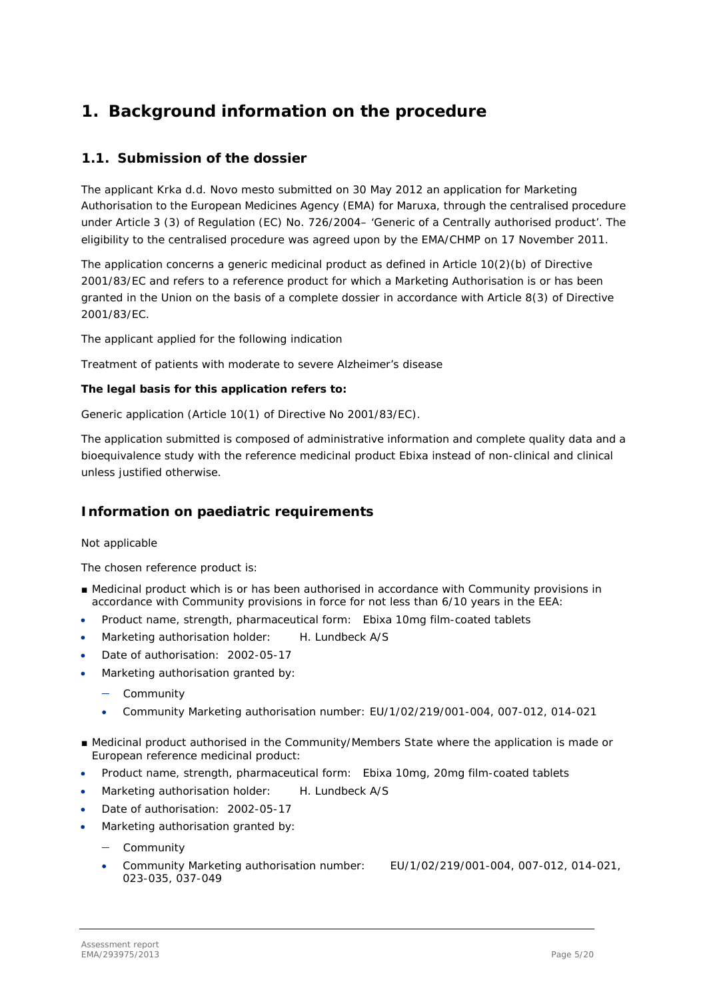# <span id="page-4-0"></span>**1. Background information on the procedure**

### <span id="page-4-1"></span>*1.1. Submission of the dossier*

The applicant Krka d.d. Novo mesto submitted on 30 May 2012 an application for Marketing Authorisation to the European Medicines Agency (EMA) for Maruxa, through the centralised procedure under Article 3 (3) of Regulation (EC) No. 726/2004– 'Generic of a Centrally authorised product'. The eligibility to the centralised procedure was agreed upon by the EMA/CHMP on 17 November 2011.

The application concerns a generic medicinal product as defined in Article 10(2)(b) of Directive 2001/83/EC and refers to a reference product for which a Marketing Authorisation is or has been granted in the Union on the basis of a complete dossier in accordance with Article 8(3) of Directive 2001/83/EC.

The applicant applied for the following indication

Treatment of patients with moderate to severe Alzheimer's disease

#### **The legal basis for this application refers to:**

Generic application (Article 10(1) of Directive No 2001/83/EC).

The application submitted is composed of administrative information and complete quality data and a bioequivalence study with the reference medicinal product Ebixa instead of non-clinical and clinical unless justified otherwise.

### *Information on paediatric requirements*

#### Not applicable

The chosen reference product is:

- Medicinal product which is or has been authorised in accordance with Community provisions in accordance with Community provisions in force for not less than 6/10 years in the EEA:
- Product name, strength, pharmaceutical form: Ebixa 10mg film-coated tablets
- Marketing authorisation holder: H. Lundbeck A/S
- Date of authorisation: 2002-05-17
- Marketing authorisation granted by:
	- − Community
	- Community Marketing authorisation number: EU/1/02/219/001-004, 007-012, 014-021
- Medicinal product authorised in the Community/Members State where the application is made or European reference medicinal product:
- Product name, strength, pharmaceutical form: Ebixa 10mg, 20mg film-coated tablets
- Marketing authorisation holder: H. Lundbeck A/S
- Date of authorisation: 2002-05-17
- Marketing authorisation granted by:
	- − Community
	- Community Marketing authorisation number: EU/1/02/219/001-004, 007-012, 014-021, 023-035, 037-049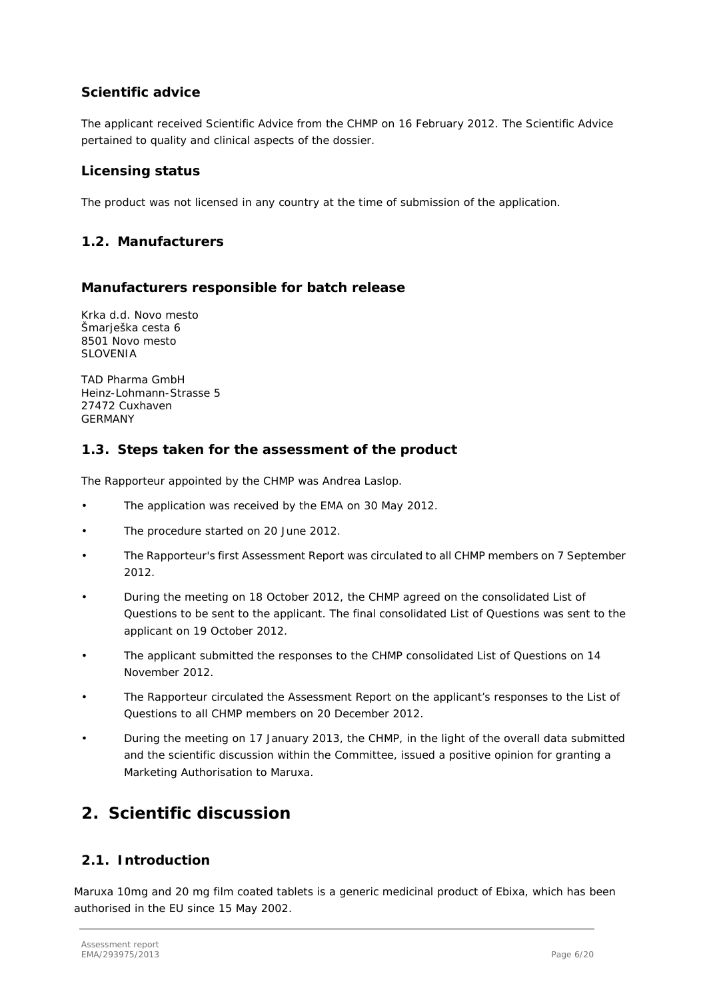## *Scientific advice*

The applicant received Scientific Advice from the CHMP on 16 February 2012. The Scientific Advice pertained to quality and clinical aspects of the dossier.

## *Licensing status*

The product was not licensed in any country at the time of submission of the application.

## <span id="page-5-0"></span>*1.2. Manufacturers*

### **Manufacturers responsible for batch release**

Krka d.d. Novo mesto Šmarješka cesta 6 8501 Novo mesto SLOVENIA

TAD Pharma GmbH Heinz-Lohmann-Strasse 5 27472 Cuxhaven GERMANY

### <span id="page-5-1"></span>*1.3. Steps taken for the assessment of the product*

The Rapporteur appointed by the CHMP was Andrea Laslop.

- The application was received by the EMA on 30 May 2012.
- The procedure started on 20 June 2012.
- The Rapporteur's first Assessment Report was circulated to all CHMP members on 7 September 2012.
- During the meeting on 18 October 2012, the CHMP agreed on the consolidated List of Questions to be sent to the applicant. The final consolidated List of Questions was sent to the applicant on 19 October 2012.
- The applicant submitted the responses to the CHMP consolidated List of Questions on 14 November 2012.
- The Rapporteur circulated the Assessment Report on the applicant's responses to the List of Questions to all CHMP members on 20 December 2012.
- During the meeting on 17 January 2013, the CHMP, in the light of the overall data submitted and the scientific discussion within the Committee, issued a positive opinion for granting a Marketing Authorisation to Maruxa.

# <span id="page-5-2"></span>**2. Scientific discussion**

## <span id="page-5-3"></span>*2.1. Introduction*

Maruxa 10mg and 20 mg film coated tablets is a generic medicinal product of Ebixa, which has been authorised in the EU since 15 May 2002.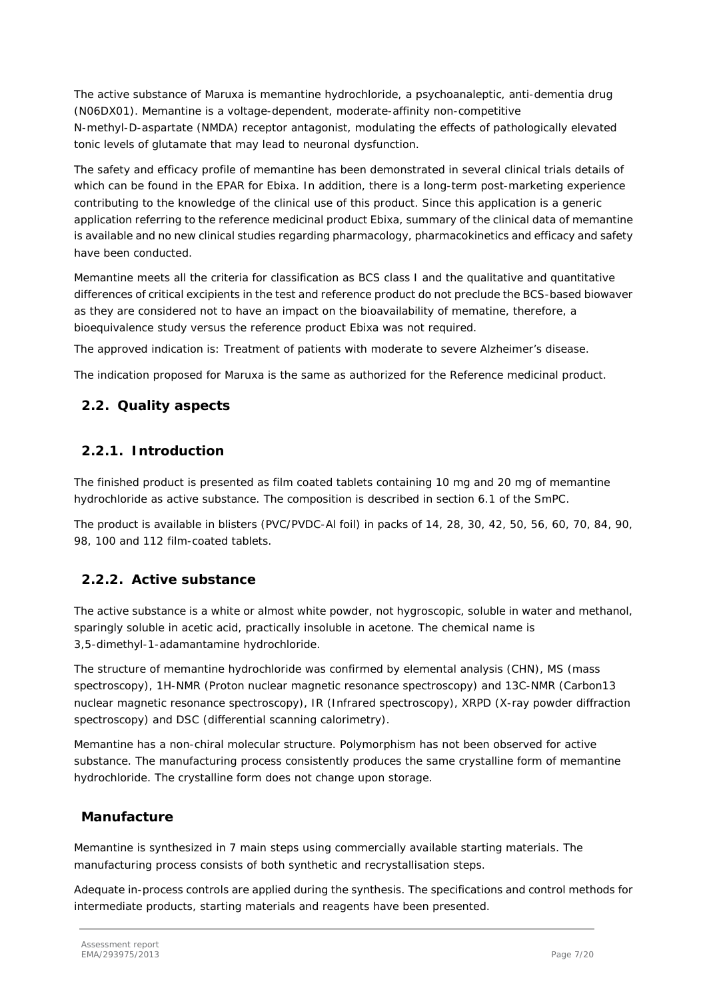The active substance of Maruxa is memantine hydrochloride, a psychoanaleptic, anti-dementia drug (N06DX01). Memantine is a voltage-dependent, moderate-affinity non-competitive N-methyl-D-aspartate (NMDA) receptor antagonist, modulating the effects of pathologically elevated tonic levels of glutamate that may lead to neuronal dysfunction.

The safety and efficacy profile of memantine has been demonstrated in several clinical trials details of which can be found in the EPAR for Ebixa. In addition, there is a long-term post-marketing experience contributing to the knowledge of the clinical use of this product. Since this application is a generic application referring to the reference medicinal product Ebixa, summary of the clinical data of memantine is available and no new clinical studies regarding pharmacology, pharmacokinetics and efficacy and safety have been conducted.

Memantine meets all the criteria for classification as BCS class I and the qualitative and quantitative differences of critical excipients in the test and reference product do not preclude the BCS-based biowaver as they are considered not to have an impact on the bioavailability of mematine, therefore, a bioequivalence study versus the reference product Ebixa was not required.

The approved indication is: Treatment of patients with moderate to severe Alzheimer's disease.

<span id="page-6-0"></span>The indication proposed for Maruxa is the same as authorized for the Reference medicinal product.

## *2.2. Quality aspects*

## <span id="page-6-1"></span>**2.2.1. Introduction**

The finished product is presented as film coated tablets containing 10 mg and 20 mg of memantine hydrochloride as active substance. The composition is described in section 6.1 of the SmPC.

The product is available in blisters (PVC/PVDC-Al foil) in packs of 14, 28, 30, 42, 50, 56, 60, 70, 84, 90, 98, 100 and 112 film-coated tablets.

## <span id="page-6-2"></span>**2.2.2. Active substance**

The active substance is a white or almost white powder, not hygroscopic, soluble in water and methanol, sparingly soluble in acetic acid, practically insoluble in acetone. The chemical name is 3,5-dimethyl-1-adamantamine hydrochloride.

The structure of memantine hydrochloride was confirmed by elemental analysis (CHN), MS (mass spectroscopy), 1H-NMR (Proton nuclear magnetic resonance spectroscopy) and 13C-NMR (Carbon13 nuclear magnetic resonance spectroscopy), IR (Infrared spectroscopy), XRPD (X-ray powder diffraction spectroscopy) and DSC (differential scanning calorimetry).

Memantine has a non-chiral molecular structure. Polymorphism has not been observed for active substance. The manufacturing process consistently produces the same crystalline form of memantine hydrochloride. The crystalline form does not change upon storage.

### *Manufacture*

Memantine is synthesized in 7 main steps using commercially available starting materials. The manufacturing process consists of both synthetic and recrystallisation steps.

Adequate in-process controls are applied during the synthesis. The specifications and control methods for intermediate products, starting materials and reagents have been presented.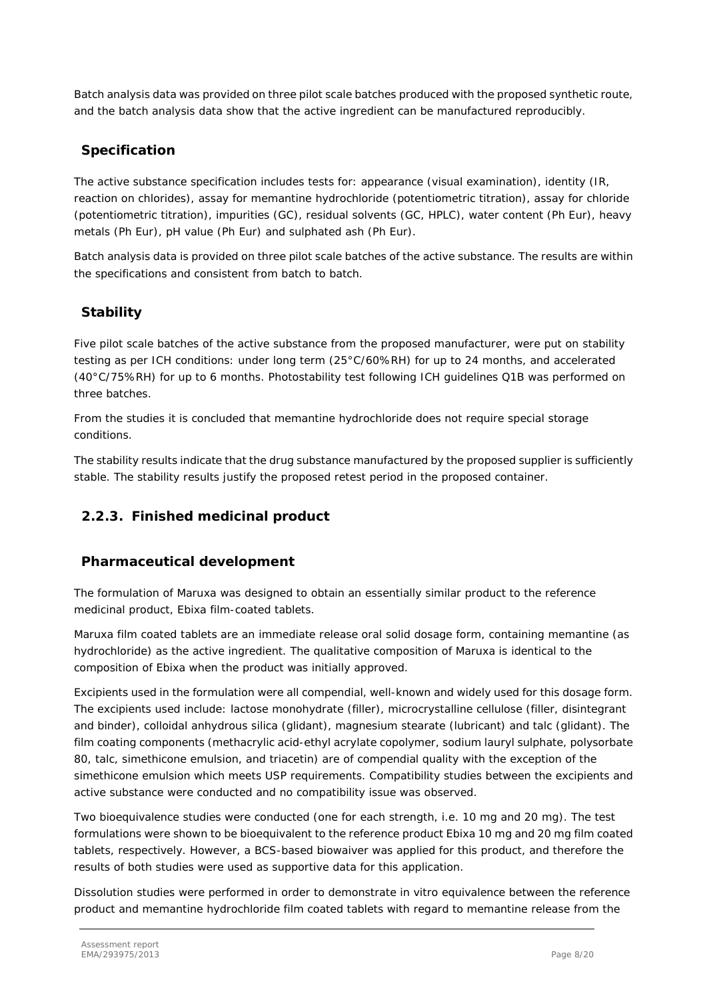Batch analysis data was provided on three pilot scale batches produced with the proposed synthetic route, and the batch analysis data show that the active ingredient can be manufactured reproducibly.

## *Specification*

The active substance specification includes tests for: appearance (visual examination), identity (IR, reaction on chlorides), assay for memantine hydrochloride (potentiometric titration), assay for chloride (potentiometric titration), impurities (GC), residual solvents (GC, HPLC), water content (Ph Eur), heavy metals (Ph Eur), pH value (Ph Eur) and sulphated ash (Ph Eur).

Batch analysis data is provided on three pilot scale batches of the active substance. The results are within the specifications and consistent from batch to batch.

### *Stability*

Five pilot scale batches of the active substance from the proposed manufacturer, were put on stability testing as per ICH conditions: under long term (25°C/60%RH) for up to 24 months, and accelerated (40°C/75%RH) for up to 6 months. Photostability test following ICH guidelines Q1B was performed on three batches.

From the studies it is concluded that memantine hydrochloride does not require special storage conditions.

The stability results indicate that the drug substance manufactured by the proposed supplier is sufficiently stable. The stability results justify the proposed retest period in the proposed container.

## <span id="page-7-0"></span>**2.2.3. Finished medicinal product**

## *Pharmaceutical development*

The formulation of Maruxa was designed to obtain an essentially similar product to the reference medicinal product, Ebixa film-coated tablets.

Maruxa film coated tablets are an immediate release oral solid dosage form, containing memantine (as hydrochloride) as the active ingredient. The qualitative composition of Maruxa is identical to the composition of Ebixa when the product was initially approved.

Excipients used in the formulation were all compendial, well-known and widely used for this dosage form. The excipients used include: lactose monohydrate (filler), microcrystalline cellulose (filler, disintegrant and binder), colloidal anhydrous silica (glidant), magnesium stearate (lubricant) and talc (glidant). The film coating components (methacrylic acid-ethyl acrylate copolymer, sodium lauryl sulphate, polysorbate 80, talc, simethicone emulsion, and triacetin) are of compendial quality with the exception of the simethicone emulsion which meets USP requirements. Compatibility studies between the excipients and active substance were conducted and no compatibility issue was observed.

Two bioequivalence studies were conducted (one for each strength, i.e. 10 mg and 20 mg). The test formulations were shown to be bioequivalent to the reference product Ebixa 10 mg and 20 mg film coated tablets, respectively. However, a BCS-based biowaiver was applied for this product, and therefore the results of both studies were used as supportive data for this application.

Dissolution studies were performed in order to demonstrate in vitro equivalence between the reference product and memantine hydrochloride film coated tablets with regard to memantine release from the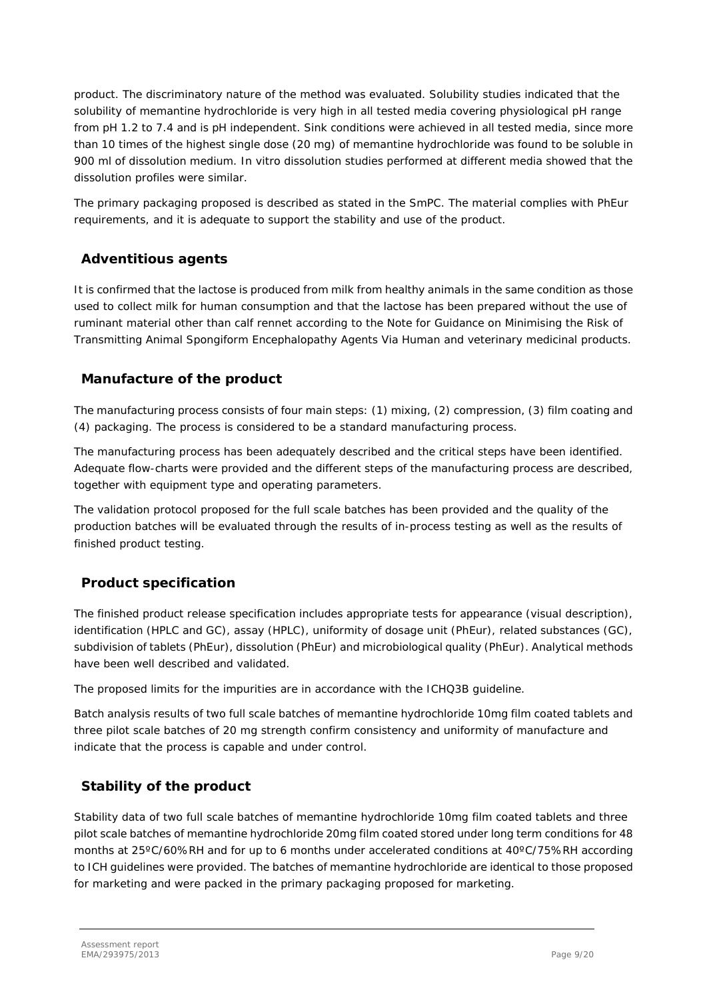product. The discriminatory nature of the method was evaluated. Solubility studies indicated that the solubility of memantine hydrochloride is very high in all tested media covering physiological pH range from pH 1.2 to 7.4 and is pH independent. Sink conditions were achieved in all tested media, since more than 10 times of the highest single dose (20 mg) of memantine hydrochloride was found to be soluble in 900 ml of dissolution medium. In vitro dissolution studies performed at different media showed that the dissolution profiles were similar.

The primary packaging proposed is described as stated in the SmPC. The material complies with PhEur requirements, and it is adequate to support the stability and use of the product.

## *Adventitious agents*

It is confirmed that the lactose is produced from milk from healthy animals in the same condition as those used to collect milk for human consumption and that the lactose has been prepared without the use of ruminant material other than calf rennet according to the Note for Guidance on Minimising the Risk of Transmitting Animal Spongiform Encephalopathy Agents Via Human and veterinary medicinal products.

## *Manufacture of the product*

The manufacturing process consists of four main steps: (1) mixing, (2) compression, (3) film coating and (4) packaging. The process is considered to be a standard manufacturing process.

The manufacturing process has been adequately described and the critical steps have been identified. Adequate flow-charts were provided and the different steps of the manufacturing process are described, together with equipment type and operating parameters.

The validation protocol proposed for the full scale batches has been provided and the quality of the production batches will be evaluated through the results of in-process testing as well as the results of finished product testing.

## *Product specification*

The finished product release specification includes appropriate tests for appearance (visual description), identification (HPLC and GC), assay (HPLC), uniformity of dosage unit (PhEur), related substances (GC), subdivision of tablets (PhEur), dissolution (PhEur) and microbiological quality (PhEur). Analytical methods have been well described and validated.

The proposed limits for the impurities are in accordance with the ICHQ3B guideline.

Batch analysis results of two full scale batches of memantine hydrochloride 10mg film coated tablets and three pilot scale batches of 20 mg strength confirm consistency and uniformity of manufacture and indicate that the process is capable and under control.

## *Stability of the product*

Stability data of two full scale batches of memantine hydrochloride 10mg film coated tablets and three pilot scale batches of memantine hydrochloride 20mg film coated stored under long term conditions for 48 months at 25°C/60%RH and for up to 6 months under accelerated conditions at 40°C/75%RH according to ICH guidelines were provided. The batches of memantine hydrochloride are identical to those proposed for marketing and were packed in the primary packaging proposed for marketing.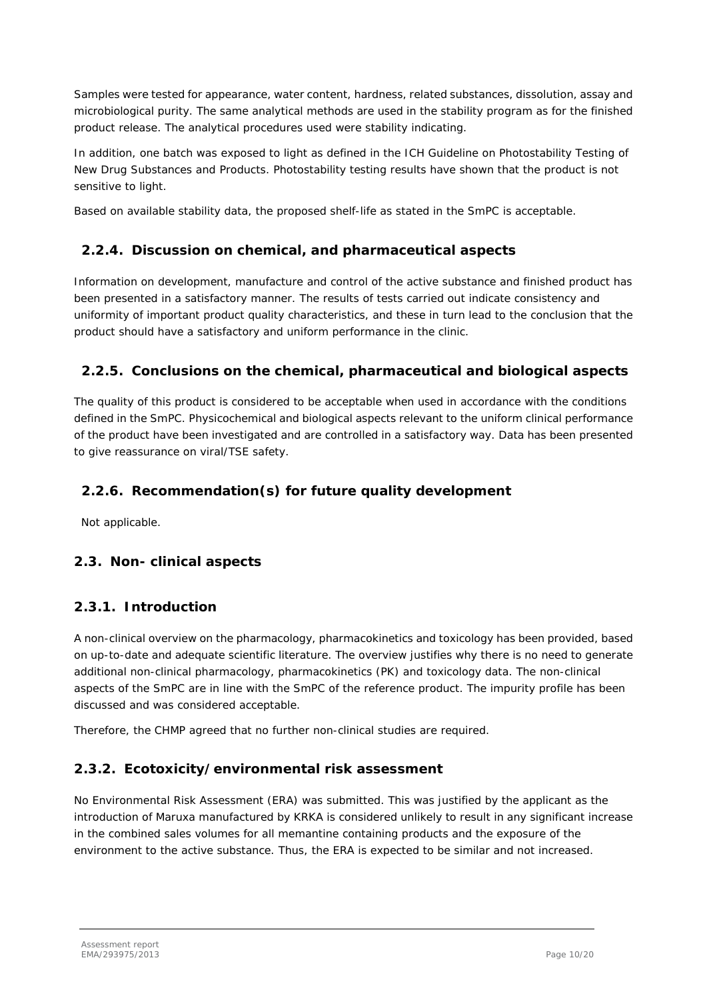Samples were tested for appearance, water content, hardness, related substances, dissolution, assay and microbiological purity. The same analytical methods are used in the stability program as for the finished product release. The analytical procedures used were stability indicating.

In addition, one batch was exposed to light as defined in the ICH Guideline on Photostability Testing of New Drug Substances and Products. Photostability testing results have shown that the product is not sensitive to light.

Based on available stability data, the proposed shelf-life as stated in the SmPC is acceptable.

## <span id="page-9-0"></span>**2.2.4. Discussion on chemical, and pharmaceutical aspects**

Information on development, manufacture and control of the active substance and finished product has been presented in a satisfactory manner. The results of tests carried out indicate consistency and uniformity of important product quality characteristics, and these in turn lead to the conclusion that the product should have a satisfactory and uniform performance in the clinic.

## <span id="page-9-1"></span>**2.2.5. Conclusions on the chemical, pharmaceutical and biological aspects**

The quality of this product is considered to be acceptable when used in accordance with the conditions defined in the SmPC. Physicochemical and biological aspects relevant to the uniform clinical performance of the product have been investigated and are controlled in a satisfactory way. Data has been presented to give reassurance on viral/TSE safety.

## <span id="page-9-2"></span>**2.2.6. Recommendation(s) for future quality development**

Not applicable.

## <span id="page-9-3"></span>*2.3. Non- clinical aspects*

## <span id="page-9-4"></span>**2.3.1. Introduction**

A non-clinical overview on the pharmacology, pharmacokinetics and toxicology has been provided, based on up-to-date and adequate scientific literature. The overview justifies why there is no need to generate additional non-clinical pharmacology, pharmacokinetics (PK) and toxicology data. The non-clinical aspects of the SmPC are in line with the SmPC of the reference product. The impurity profile has been discussed and was considered acceptable.

Therefore, the CHMP agreed that no further non-clinical studies are required.

## <span id="page-9-5"></span>**2.3.2. Ecotoxicity/environmental risk assessment**

No Environmental Risk Assessment (ERA) was submitted. This was justified by the applicant as the introduction of Maruxa manufactured by KRKA is considered unlikely to result in any significant increase in the combined sales volumes for all memantine containing products and the exposure of the environment to the active substance. Thus, the ERA is expected to be similar and not increased.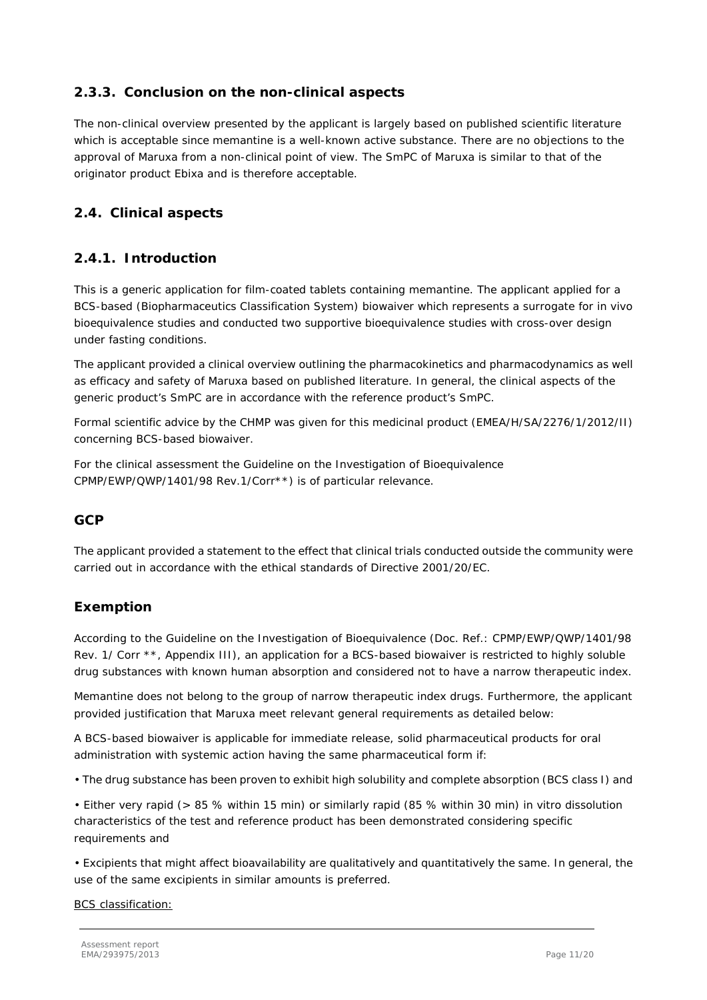## <span id="page-10-0"></span>**2.3.3. Conclusion on the non-clinical aspects**

The non-clinical overview presented by the applicant is largely based on published scientific literature which is acceptable since memantine is a well-known active substance. There are no objections to the approval of Maruxa from a non-clinical point of view. The SmPC of Maruxa is similar to that of the originator product Ebixa and is therefore acceptable.

## <span id="page-10-1"></span>*2.4. Clinical aspects*

## <span id="page-10-2"></span>**2.4.1. Introduction**

This is a generic application for film-coated tablets containing memantine. The applicant applied for a BCS-based (Biopharmaceutics Classification System) biowaiver which represents a surrogate for *in vivo* bioequivalence studies and conducted two supportive bioequivalence studies with cross-over design under fasting conditions.

The applicant provided a clinical overview outlining the pharmacokinetics and pharmacodynamics as well as efficacy and safety of Maruxa based on published literature. In general, the clinical aspects of the generic product's SmPC are in accordance with the reference product's SmPC.

Formal scientific advice by the CHMP was given for this medicinal product (EMEA/H/SA/2276/1/2012/II) concerning BCS-based biowaiver.

For the clinical assessment the Guideline on the Investigation of Bioequivalence CPMP/EWP/QWP/1401/98 Rev.1/Corr\*\*) is of particular relevance.

## *GCP*

The applicant provided a statement to the effect that clinical trials conducted outside the community were carried out in accordance with the ethical standards of Directive 2001/20/EC.

## *Exemption*

According to the Guideline on the Investigation of Bioequivalence (Doc. Ref.: CPMP/EWP/QWP/1401/98 Rev. 1/ Corr \*\*, Appendix III), an application for a BCS-based biowaiver is restricted to highly soluble drug substances with known human absorption and considered not to have a narrow therapeutic index.

Memantine does not belong to the group of narrow therapeutic index drugs. Furthermore, the applicant provided justification that Maruxa meet relevant general requirements as detailed below:

A BCS-based biowaiver is applicable for immediate release, solid pharmaceutical products for oral administration with systemic action having the same pharmaceutical form if:

• The drug substance has been proven to exhibit high solubility and complete absorption (BCS class I) and

• Either very rapid (> 85 % within 15 min) or similarly rapid (85 % within 30 min) in vitro dissolution characteristics of the test and reference product has been demonstrated considering specific requirements and

• Excipients that might affect bioavailability are qualitatively and quantitatively the same. In general, the use of the same excipients in similar amounts is preferred.

BCS classification: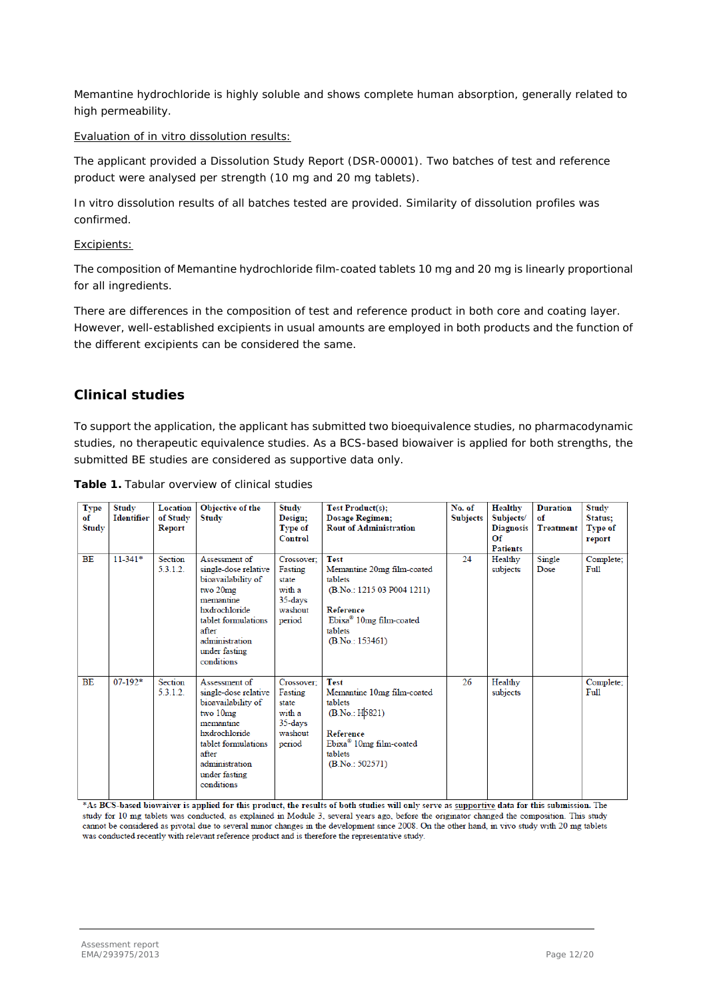Memantine hydrochloride is highly soluble and shows complete human absorption, generally related to high permeability.

#### Evaluation of *in vitro* dissolution results:

The applicant provided a Dissolution Study Report (DSR-00001). Two batches of test and reference product were analysed per strength (10 mg and 20 mg tablets).

*In vitro* dissolution results of all batches tested are provided. Similarity of dissolution profiles was confirmed.

#### Excipients:

The composition of Memantine hydrochloride film-coated tablets 10 mg and 20 mg is linearly proportional for all ingredients.

There are differences in the composition of test and reference product in both core and coating layer. However, well-established excipients in usual amounts are employed in both products and the function of the different excipients can be considered the same.

### *Clinical studies*

To support the application, the applicant has submitted two bioequivalence studies, no pharmacodynamic studies, no therapeutic equivalence studies. As a BCS-based biowaiver is applied for both strengths, the submitted BE studies are considered as supportive data only.

| Type<br>of<br>Study<br>BE | Study<br><b>Identifier</b><br>$11 - 341*$ | <b>Location</b><br>of Study<br>Report<br>Section | Objective of the<br><b>Study</b><br>Assessment of                                                                                                                                      | Study<br>Design:<br>Type of<br>Control<br>Crossover;                        | Test Product(s);<br><b>Dosage Regimen;</b><br><b>Rout of Administration</b><br><b>Test</b>                                                                   | No. of<br><b>Subjects</b><br>24 | <b>Healthy</b><br>Subjects/<br><b>Diagnosis</b><br>Of<br><b>Patients</b><br>Healthy | <b>Duration</b><br>of<br><b>Treatment</b><br>Single | Study<br>Status;<br>Type of<br>report<br>Complete; |
|---------------------------|-------------------------------------------|--------------------------------------------------|----------------------------------------------------------------------------------------------------------------------------------------------------------------------------------------|-----------------------------------------------------------------------------|--------------------------------------------------------------------------------------------------------------------------------------------------------------|---------------------------------|-------------------------------------------------------------------------------------|-----------------------------------------------------|----------------------------------------------------|
|                           |                                           | 5.3.1.2.                                         | single-dose relative<br>bioavailability of<br>two 20mg<br>memantine<br>hxdrochloride<br>tablet formulations<br>after<br>administration<br>under fasting<br>conditions                  | Fasting<br>state<br>with a<br>35-days<br>washout<br>period                  | Memantine 20mg film-coated<br>tablets<br>(B.No.: 1215 03 P004 1211)<br><b>Reference</b><br>Ebixa <sup>®</sup> 10mg film-coated<br>tablets<br>(B.No.: 153461) |                                 | subjects                                                                            | Dose                                                | Full                                               |
| BE                        | $07-192*$                                 | Section<br>5312                                  | Assessment of<br>single-dose relative<br>bioavailability of<br>two 10mg<br>memantine<br>hxdrochloride<br>tablet formulations<br>after<br>administration<br>under fasting<br>conditions | Crossover;<br>Fasting<br>state<br>with a<br>$35$ -days<br>washout<br>period | <b>Test</b><br>Memantine 10mg film-coated<br>tablets<br>(B.No.: H5821)<br>Reference<br>Ebixa <sup>®</sup> 10mg film-coated<br>tablets<br>(B.No.: 502571)     | 26                              | Healthy<br>subjects                                                                 |                                                     | Complete;<br>Full                                  |

**Table 1.** Tabular overview of clinical studies

\*As BCS-based biowaiver is applied for this product, the results of both studies will only serve as supportive data for this submission. The study for 10 mg tablets was conducted, as explained in Module 3, several years ago, before the originator changed the composition. This study cannot be considered as pivotal due to several minor changes in the development since 2008. On the other hand, in vivo study with 20 mg tablets was conducted recently with relevant reference product and is therefore the representative study.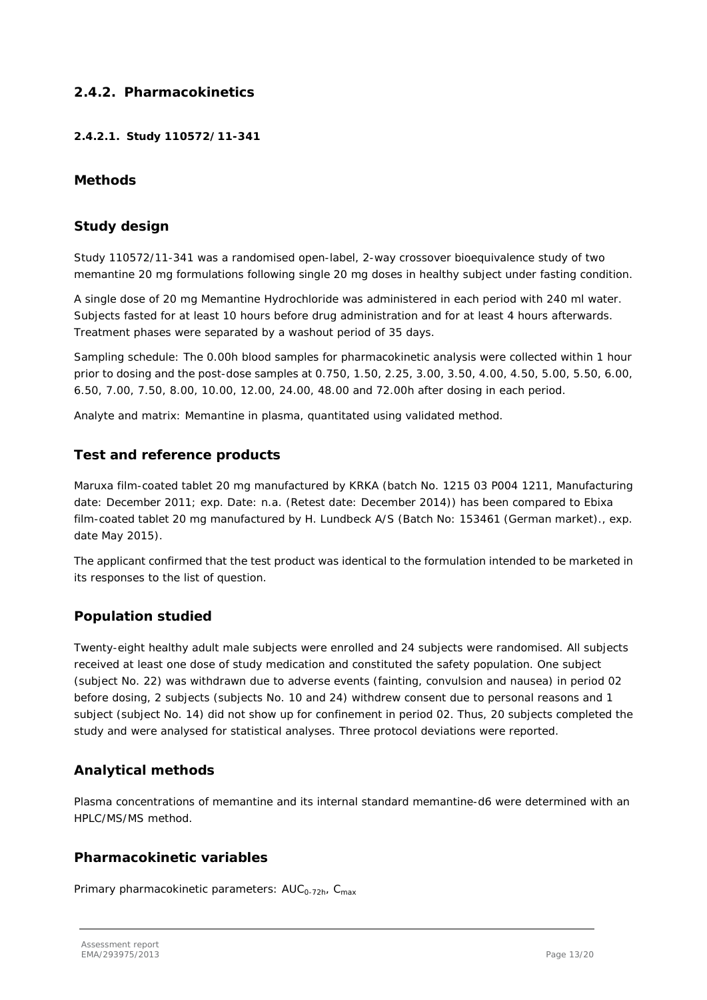## <span id="page-12-0"></span>**2.4.2. Pharmacokinetics**

#### *2.4.2.1.* **Study 110572/11-341**

### *Methods*

#### *Study design*

Study 110572/11-341 was a randomised open-label, 2-way crossover bioequivalence study of two memantine 20 mg formulations following single 20 mg doses in healthy subject under fasting condition.

A single dose of 20 mg Memantine Hydrochloride was administered in each period with 240 ml water. Subjects fasted for at least 10 hours before drug administration and for at least 4 hours afterwards. Treatment phases were separated by a washout period of 35 days.

Sampling schedule: The 0.00h blood samples for pharmacokinetic analysis were collected within 1 hour prior to dosing and the post-dose samples at 0.750, 1.50, 2.25, 3.00, 3.50, 4.00, 4.50, 5.00, 5.50, 6.00, 6.50, 7.00, 7.50, 8.00, 10.00, 12.00, 24.00, 48.00 and 72.00h after dosing in each period.

Analyte and matrix: Memantine in plasma, quantitated using validated method.

### *Test and reference products*

Maruxa film-coated tablet 20 mg manufactured by KRKA (batch No. 1215 03 P004 1211, Manufacturing date: December 2011; exp. Date: n.a. (Retest date: December 2014)) has been compared to Ebixa film-coated tablet 20 mg manufactured by H. Lundbeck A/S (Batch No: 153461 (German market)., exp. date May 2015).

The applicant confirmed that the test product was identical to the formulation intended to be marketed in its responses to the list of question.

### *Population studied*

Twenty-eight healthy adult male subjects were enrolled and 24 subjects were randomised. All subjects received at least one dose of study medication and constituted the safety population. One subject (subject No. 22) was withdrawn due to adverse events (fainting, convulsion and nausea) in period 02 before dosing, 2 subjects (subjects No. 10 and 24) withdrew consent due to personal reasons and 1 subject (subject No. 14) did not show up for confinement in period 02. Thus, 20 subjects completed the study and were analysed for statistical analyses. Three protocol deviations were reported.

## *Analytical methods*

Plasma concentrations of memantine and its internal standard memantine-d6 were determined with an HPLC/MS/MS method.

### *Pharmacokinetic variables*

Primary pharmacokinetic parameters:  $AUC_{0-72h}$ ,  $C_{max}$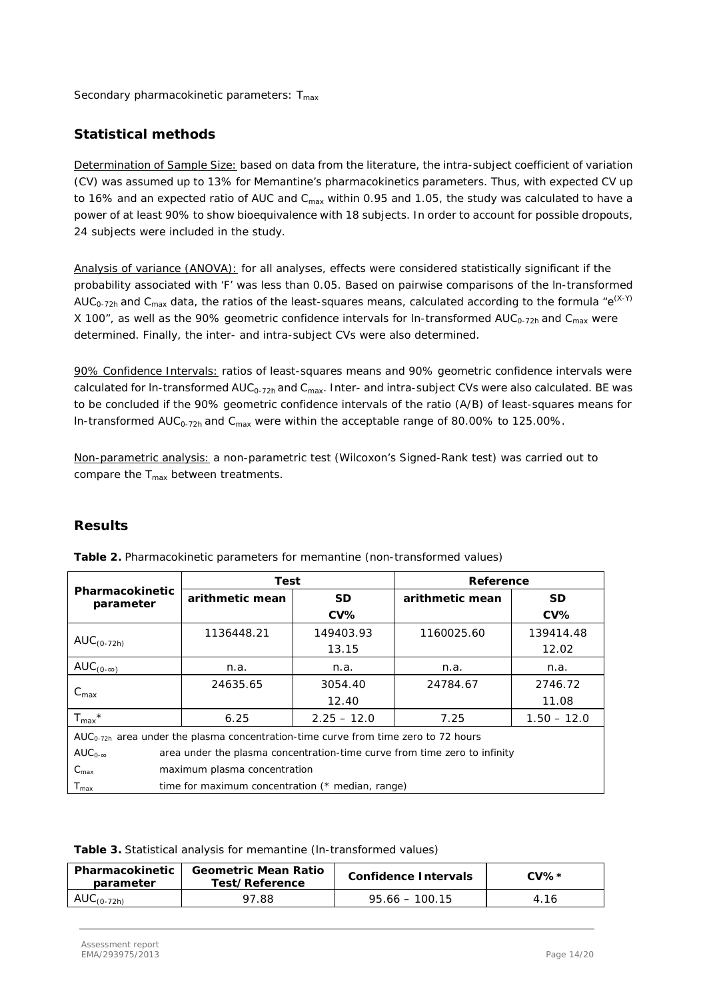Secondary pharmacokinetic parameters:  $T_{max}$ 

## *Statistical methods*

Determination of Sample Size: based on data from the literature, the intra-subject coefficient of variation (CV) was assumed up to 13% for Memantine's pharmacokinetics parameters. Thus, with expected CV up to 16% and an expected ratio of AUC and C<sub>max</sub> within 0.95 and 1.05, the study was calculated to have a power of at least 90% to show bioequivalence with 18 subjects. In order to account for possible dropouts, 24 subjects were included in the study.

Analysis of variance (ANOVA): for all analyses, effects were considered statistically significant if the probability associated with 'F' was less than 0.05. Based on pairwise comparisons of the ln-transformed AUC<sub>0-72h</sub> and C<sub>max</sub> data, the ratios of the least-squares means, calculated according to the formula " $e^{(X-Y)}$ X 100", as well as the 90% geometric confidence intervals for In-transformed  $AUC_{0-72h}$  and  $C_{max}$  were determined. Finally, the inter- and intra-subject CVs were also determined.

90% Confidence Intervals: ratios of least-squares means and 90% geometric confidence intervals were calculated for In-transformed  $AUC_{0-72h}$  and  $C_{max}$ . Inter- and intra-subject CVs were also calculated. BE was to be concluded if the 90% geometric confidence intervals of the ratio (A/B) of least-squares means for In-transformed  $AUC_{0-72h}$  and  $C_{max}$  were within the acceptable range of 80.00% to 125.00%.

Non-parametric analysis: a non-parametric test (Wilcoxon's Signed-Rank test) was carried out to compare the  $T_{\text{max}}$  between treatments.

## *Results*

|                                                                                                | Test                                                                      |               | Reference       |               |  |
|------------------------------------------------------------------------------------------------|---------------------------------------------------------------------------|---------------|-----------------|---------------|--|
| Pharmacokinetic<br>parameter                                                                   | arithmetic mean                                                           | <b>SD</b>     | arithmetic mean | <b>SD</b>     |  |
|                                                                                                |                                                                           | $CV\%$        |                 | $CV\%$        |  |
|                                                                                                | 1136448.21                                                                | 149403.93     | 1160025.60      | 139414.48     |  |
| $AUC_{(0-72h)}$                                                                                |                                                                           | 13.15         |                 | 12.02         |  |
| AUC $_{(0-\infty)}$                                                                            | n.a.                                                                      | n.a.          | n.a.            | n.a.          |  |
|                                                                                                | 24635.65                                                                  | 3054.40       | 24784.67        | 2746.72       |  |
| $C_{\text{max}}$                                                                               |                                                                           | 12.40         |                 | 11.08         |  |
| $T_{\text{max}}$ *                                                                             | 6.25                                                                      | $2.25 - 12.0$ | 7.25            | $1.50 - 12.0$ |  |
| AUC <sub>0-72h</sub> area under the plasma concentration-time curve from time zero to 72 hours |                                                                           |               |                 |               |  |
| $AUC_{0-\infty}$                                                                               | area under the plasma concentration-time curve from time zero to infinity |               |                 |               |  |
| $C_{\text{max}}$                                                                               | maximum plasma concentration                                              |               |                 |               |  |
| $T_{\text{max}}$                                                                               | time for maximum concentration (* median, range)                          |               |                 |               |  |

| Table 2. Pharmacokinetic parameters for memantine (non-transformed values) |  |  |
|----------------------------------------------------------------------------|--|--|
|                                                                            |  |  |

| Table 3. Statistical analysis for memantine (In-transformed values) |  |  |
|---------------------------------------------------------------------|--|--|
|                                                                     |  |  |

| Pharmacokinetic<br>parameter | <b>Geometric Mean Ratio</b><br>Test/Reference | Confidence Intervals | $CVA*$ |
|------------------------------|-----------------------------------------------|----------------------|--------|
| AUC $_{(0-72h)}$             | 97.88                                         | $95.66 - 100.15$     | 4.16   |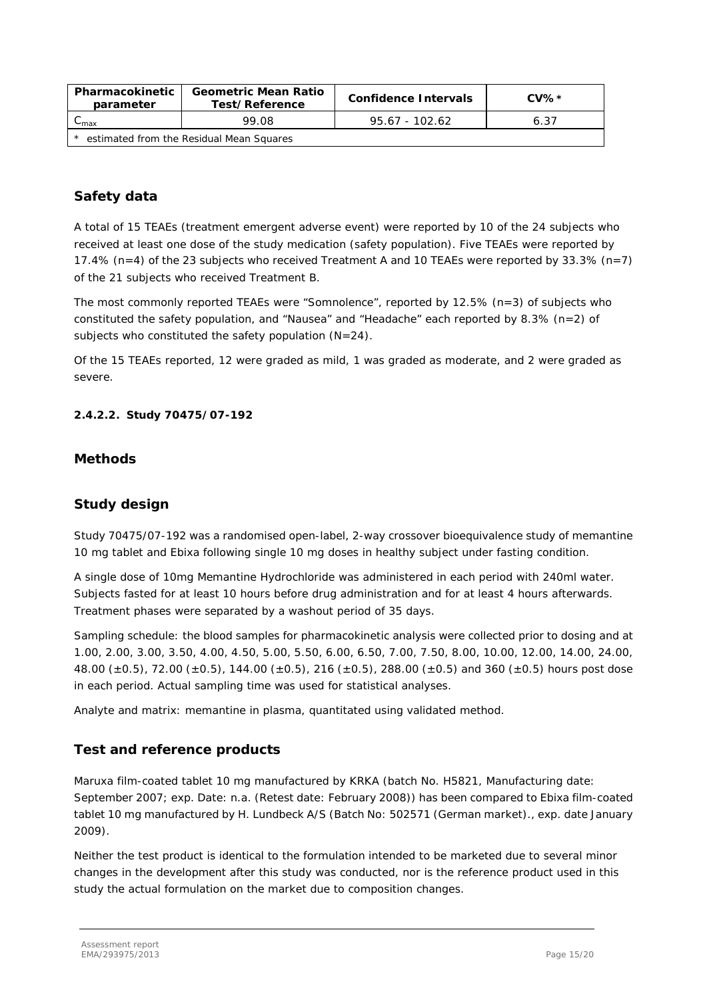| Pharmacokinetic<br>parameter             | <b>Geometric Mean Ratio</b><br>Test/Reference | Confidence Intervals | $CV\%*$ |  |  |
|------------------------------------------|-----------------------------------------------|----------------------|---------|--|--|
| $\mathsf{v}_{\mathsf{max}}$              | 99.08                                         | $95.67 - 102.62$     | 6.37    |  |  |
| estimated from the Residual Mean Squares |                                               |                      |         |  |  |

## *Safety data*

A total of 15 TEAEs (treatment emergent adverse event) were reported by 10 of the 24 subjects who received at least one dose of the study medication (safety population). Five TEAEs were reported by 17.4% (n=4) of the 23 subjects who received Treatment A and 10 TEAEs were reported by 33.3% (n=7) of the 21 subjects who received Treatment B.

The most commonly reported TEAEs were "Somnolence", reported by 12.5% (n=3) of subjects who constituted the safety population, and "Nausea" and "Headache" each reported by 8.3% ( $n=2$ ) of subjects who constituted the safety population (N=24).

Of the 15 TEAEs reported, 12 were graded as mild, 1 was graded as moderate, and 2 were graded as severe.

#### *2.4.2.2.* **Study 70475/07-192**

### *Methods*

## *Study design*

Study 70475/07-192 was a randomised open-label, 2-way crossover bioequivalence study of memantine 10 mg tablet and Ebixa following single 10 mg doses in healthy subject under fasting condition.

A single dose of 10mg Memantine Hydrochloride was administered in each period with 240ml water. Subjects fasted for at least 10 hours before drug administration and for at least 4 hours afterwards. Treatment phases were separated by a washout period of 35 days.

Sampling schedule: the blood samples for pharmacokinetic analysis were collected prior to dosing and at 1.00, 2.00, 3.00, 3.50, 4.00, 4.50, 5.00, 5.50, 6.00, 6.50, 7.00, 7.50, 8.00, 10.00, 12.00, 14.00, 24.00, 48.00 ( $\pm$ 0.5), 72.00 ( $\pm$ 0.5), 144.00 ( $\pm$ 0.5), 216 ( $\pm$ 0.5), 288.00 ( $\pm$ 0.5) and 360 ( $\pm$ 0.5) hours post dose in each period. Actual sampling time was used for statistical analyses.

Analyte and matrix: memantine in plasma, quantitated using validated method.

### *Test and reference products*

Maruxa film-coated tablet 10 mg manufactured by KRKA (batch No. H5821, Manufacturing date: September 2007; exp. Date: n.a. (Retest date: February 2008)) has been compared to Ebixa film-coated tablet 10 mg manufactured by H. Lundbeck A/S (Batch No: 502571 (German market)., exp. date January 2009).

Neither the test product is identical to the formulation intended to be marketed due to several minor changes in the development after this study was conducted, nor is the reference product used in this study the actual formulation on the market due to composition changes.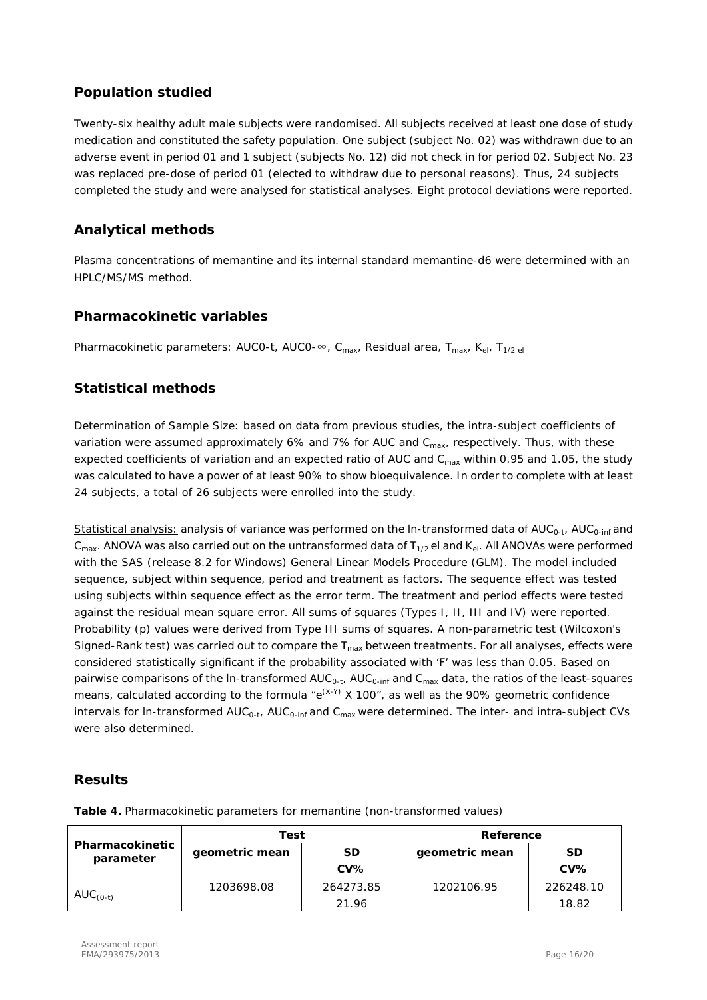## *Population studied*

Twenty-six healthy adult male subjects were randomised. All subjects received at least one dose of study medication and constituted the safety population. One subject (subject No. 02) was withdrawn due to an adverse event in period 01 and 1 subject (subjects No. 12) did not check in for period 02. Subject No. 23 was replaced pre-dose of period 01 (elected to withdraw due to personal reasons). Thus, 24 subjects completed the study and were analysed for statistical analyses. Eight protocol deviations were reported.

## *Analytical methods*

Plasma concentrations of memantine and its internal standard memantine-d6 were determined with an HPLC/MS/MS method.

### *Pharmacokinetic variables*

Pharmacokinetic parameters: AUC0-t, AUC0-∞, C<sub>max</sub>, Residual area, T<sub>max</sub>, K<sub>el</sub>, T<sub>1/2 el</sub>

## *Statistical methods*

Determination of Sample Size: based on data from previous studies, the intra-subject coefficients of variation were assumed approximately 6% and 7% for AUC and  $C<sub>max</sub>$ , respectively. Thus, with these expected coefficients of variation and an expected ratio of AUC and  $C_{\text{max}}$  within 0.95 and 1.05, the study was calculated to have a power of at least 90% to show bioequivalence. In order to complete with at least 24 subjects, a total of 26 subjects were enrolled into the study.

Statistical analysis: analysis of variance was performed on the In-transformed data of  $AUC_{0-t}$ ,  $AUC_{0-int}$  and  $C_{\text{max}}$ . ANOVA was also carried out on the untransformed data of  $T_{1/2}$  el and  $K_{el}$ . All ANOVAs were performed with the SAS (release 8.2 for Windows) General Linear Models Procedure (GLM). The model included sequence, subject within sequence, period and treatment as factors. The sequence effect was tested using subjects within sequence effect as the error term. The treatment and period effects were tested against the residual mean square error. All sums of squares (Types I, II, III and IV) were reported. Probability (p) values were derived from Type III sums of squares. A non-parametric test (Wilcoxon's Signed-Rank test) was carried out to compare the  $T_{\text{max}}$  between treatments. For all analyses, effects were considered statistically significant if the probability associated with 'F' was less than 0.05. Based on pairwise comparisons of the In-transformed  $AUC_{0-t}$ ,  $AUC_{0-int}$  and  $C_{max}$  data, the ratios of the least-squares means, calculated according to the formula " $e^{(X-Y)}$  X 100", as well as the 90% geometric confidence intervals for In-transformed  $AUC_{0-t}$ ,  $AUC_{0-int}$  and  $C_{max}$  were determined. The inter- and intra-subject CVs were also determined.

## *Results*

**Pharmacokinetic parameter** Test **Reference geometric mean SD CV% geometric mean SD CV%**  $AUC_{(0-t)}$ 1203698.08 264273.85 21.96 1202106.95 226248.10 18.82

**Table 4.** Pharmacokinetic parameters for memantine (non-transformed values)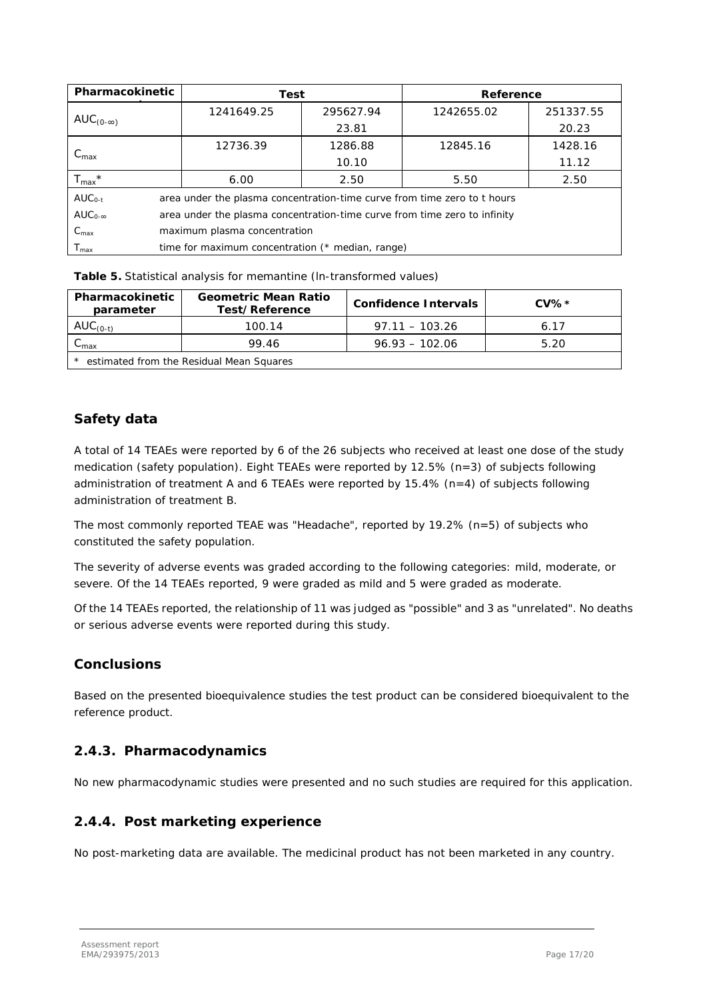| Pharmacokinetic                      | Test                                                                      |           | Reference  |           |  |
|--------------------------------------|---------------------------------------------------------------------------|-----------|------------|-----------|--|
|                                      | 1241649.25                                                                | 295627.94 | 1242655.02 | 251337.55 |  |
| AUC $_{(0-\infty)}$                  |                                                                           | 23.81     |            | 20.23     |  |
|                                      | 12736.39                                                                  | 1286.88   | 12845.16   | 1428.16   |  |
| $\textsf{C}_{\textsf{max}}$          |                                                                           | 10.10     |            | 11.12     |  |
| ${\mathsf T}_{\mathsf{max}}{}^\star$ | 6.00                                                                      | 2.50      | 5.50       | 2.50      |  |
| $AUC_{0-t}$                          | area under the plasma concentration-time curve from time zero to t hours  |           |            |           |  |
| $AUC_{0-\infty}$                     | area under the plasma concentration-time curve from time zero to infinity |           |            |           |  |
| $C_{\text{max}}$                     | maximum plasma concentration                                              |           |            |           |  |
| $T_{\text{max}}$                     | time for maximum concentration (* median, range)                          |           |            |           |  |

**Table 5.** Statistical analysis for memantine (ln-transformed values)

| Pharmacokinetic<br>parameter             | <b>Geometric Mean Ratio</b><br>Test/Reference | <b>Confidence Intervals</b> | $CV\%*$ |  |  |
|------------------------------------------|-----------------------------------------------|-----------------------------|---------|--|--|
| $AUC_{(0-t)}$                            | 100.14                                        | $97.11 - 103.26$            | 6.17    |  |  |
| ∪max                                     | 99.46                                         | $96.93 - 102.06$            | 5.20    |  |  |
| estimated from the Residual Mean Squares |                                               |                             |         |  |  |

## *Safety data*

A total of 14 TEAEs were reported by 6 of the 26 subjects who received at least one dose of the study medication (safety population). Eight TEAEs were reported by 12.5% (n=3) of subjects following administration of treatment A and 6 TEAEs were reported by 15.4% (n=4) of subjects following administration of treatment B.

The most commonly reported TEAE was "Headache", reported by 19.2% (n=5) of subjects who constituted the safety population.

The severity of adverse events was graded according to the following categories: mild, moderate, or severe. Of the 14 TEAEs reported, 9 were graded as mild and 5 were graded as moderate.

Of the 14 TEAEs reported, the relationship of 11 was judged as "possible" and 3 as "unrelated". No deaths or serious adverse events were reported during this study.

## *Conclusions*

Based on the presented bioequivalence studies the test product can be considered bioequivalent to the reference product.

## <span id="page-16-0"></span>**2.4.3. Pharmacodynamics**

No new pharmacodynamic studies were presented and no such studies are required for this application.

### <span id="page-16-1"></span>**2.4.4. Post marketing experience**

No post-marketing data are available. The medicinal product has not been marketed in any country.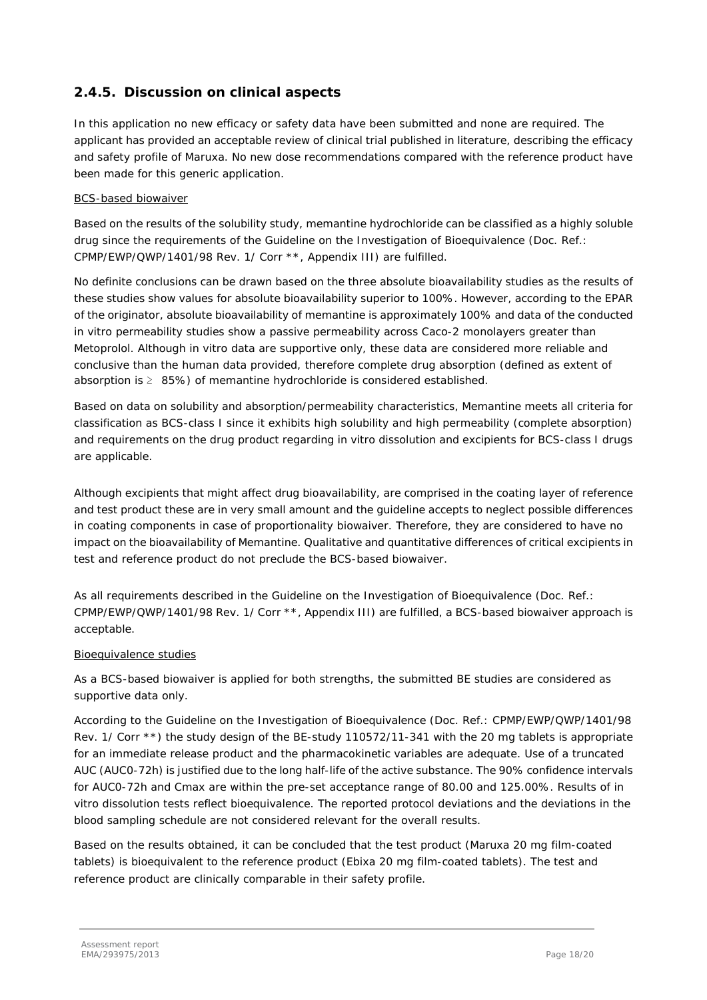## <span id="page-17-0"></span>**2.4.5. Discussion on clinical aspects**

In this application no new efficacy or safety data have been submitted and none are required. The applicant has provided an acceptable review of clinical trial published in literature, describing the efficacy and safety profile of Maruxa. No new dose recommendations compared with the reference product have been made for this generic application.

#### BCS-based biowaiver

Based on the results of the solubility study, memantine hydrochloride can be classified as a highly soluble drug since the requirements of the Guideline on the Investigation of Bioequivalence (Doc. Ref.: CPMP/EWP/QWP/1401/98 Rev. 1/ Corr \*\*, Appendix III) are fulfilled.

No definite conclusions can be drawn based on the three absolute bioavailability studies as the results of these studies show values for absolute bioavailability superior to 100%. However, according to the EPAR of the originator, absolute bioavailability of memantine is approximately 100% and data of the conducted in vitro permeability studies show a passive permeability across Caco-2 monolayers greater than Metoprolol. Although in vitro data are supportive only, these data are considered more reliable and conclusive than the human data provided, therefore complete drug absorption (defined as extent of absorption is  $\geq 85\%$ ) of memantine hydrochloride is considered established.

Based on data on solubility and absorption/permeability characteristics, Memantine meets all criteria for classification as BCS-class I since it exhibits high solubility and high permeability (complete absorption) and requirements on the drug product regarding *in vitro* dissolution and excipients for BCS-class I drugs are applicable.

Although excipients that might affect drug bioavailability, are comprised in the coating layer of reference and test product these are in very small amount and the guideline accepts to neglect possible differences in coating components in case of proportionality biowaiver. Therefore, they are considered to have no impact on the bioavailability of Memantine. Qualitative and quantitative differences of critical excipients in test and reference product do not preclude the BCS-based biowaiver.

As all requirements described in the Guideline on the Investigation of Bioequivalence (Doc. Ref.: CPMP/EWP/QWP/1401/98 Rev. 1/ Corr \*\*, Appendix III) are fulfilled, a BCS-based biowaiver approach is acceptable.

#### Bioequivalence studies

As a BCS-based biowaiver is applied for both strengths, the submitted BE studies are considered as supportive data only.

According to the Guideline on the Investigation of Bioequivalence (Doc. Ref.: CPMP/EWP/QWP/1401/98 Rev. 1/ Corr \*\*) the study design of the BE-study 110572/11-341 with the 20 mg tablets is appropriate for an immediate release product and the pharmacokinetic variables are adequate. Use of a truncated AUC (AUC0-72h) is justified due to the long half-life of the active substance. The 90% confidence intervals for AUC0-72h and Cmax are within the pre-set acceptance range of 80.00 and 125.00%. Results of in vitro dissolution tests reflect bioequivalence. The reported protocol deviations and the deviations in the blood sampling schedule are not considered relevant for the overall results.

Based on the results obtained, it can be concluded that the test product (Maruxa 20 mg film-coated tablets) is bioequivalent to the reference product (Ebixa 20 mg film-coated tablets). The test and reference product are clinically comparable in their safety profile.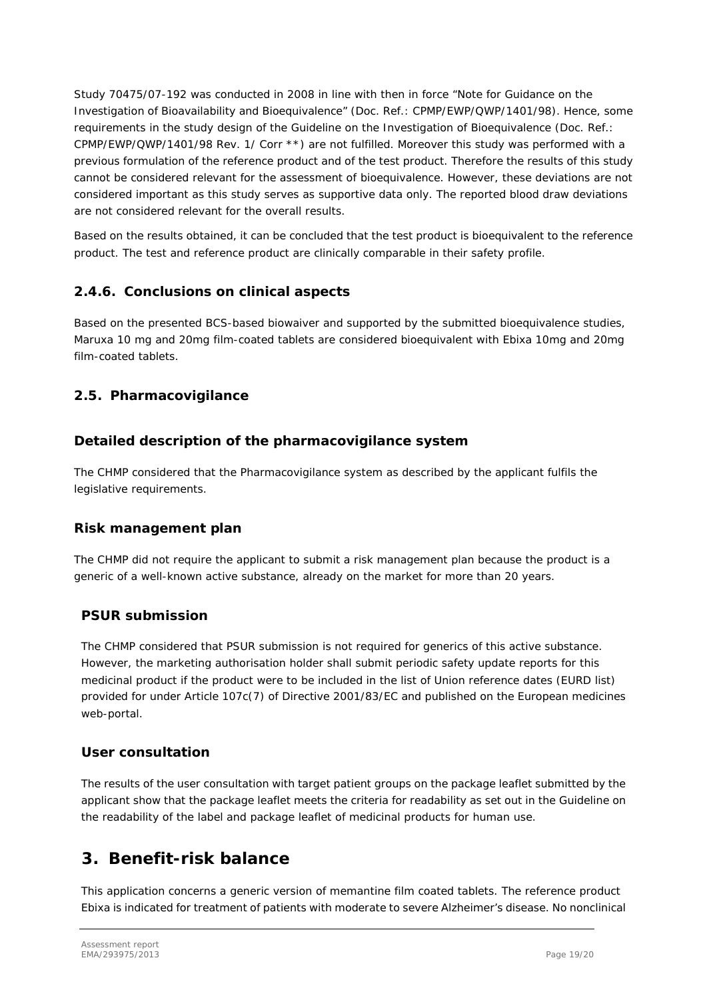Study 70475/07-192 was conducted in 2008 in line with then in force "Note for Guidance on the Investigation of Bioavailability and Bioequivalence" (Doc. Ref.: CPMP/EWP/QWP/1401/98). Hence, some requirements in the study design of the Guideline on the Investigation of Bioequivalence (Doc. Ref.: CPMP/EWP/QWP/1401/98 Rev. 1/ Corr \*\*) are not fulfilled. Moreover this study was performed with a previous formulation of the reference product and of the test product. Therefore the results of this study cannot be considered relevant for the assessment of bioequivalence. However, these deviations are not considered important as this study serves as supportive data only. The reported blood draw deviations are not considered relevant for the overall results.

Based on the results obtained, it can be concluded that the test product is bioequivalent to the reference product. The test and reference product are clinically comparable in their safety profile.

## <span id="page-18-0"></span>**2.4.6. Conclusions on clinical aspects**

Based on the presented BCS-based biowaiver and supported by the submitted bioequivalence studies, Maruxa 10 mg and 20mg film-coated tablets are considered bioequivalent with Ebixa 10mg and 20mg film-coated tablets.

## <span id="page-18-1"></span>*2.5. Pharmacovigilance*

## *Detailed description of the pharmacovigilance system*

The CHMP considered that the Pharmacovigilance system as described by the applicant fulfils the legislative requirements.

## *Risk management plan*

The CHMP did not require the applicant to submit a risk management plan because the product is a generic of a well-known active substance, already on the market for more than 20 years.

## *PSUR submission*

The CHMP considered that PSUR submission is not required for generics of this active substance. However, the marketing authorisation holder shall submit periodic safety update reports for this medicinal product if the product were to be included in the list of Union reference dates (EURD list) provided for under Article 107c(7) of Directive 2001/83/EC and published on the European medicines web-portal.

### *User consultation*

The results of the user consultation with target patient groups on the package leaflet submitted by the applicant show that the package leaflet meets the criteria for readability as set out in the Guideline on the readability of the label and package leaflet of medicinal products for human use.

# <span id="page-18-2"></span>**3. Benefit-risk balance**

This application concerns a generic version of memantine film coated tablets. The reference product Ebixa is indicated for treatment of patients with moderate to severe Alzheimer's disease. No nonclinical